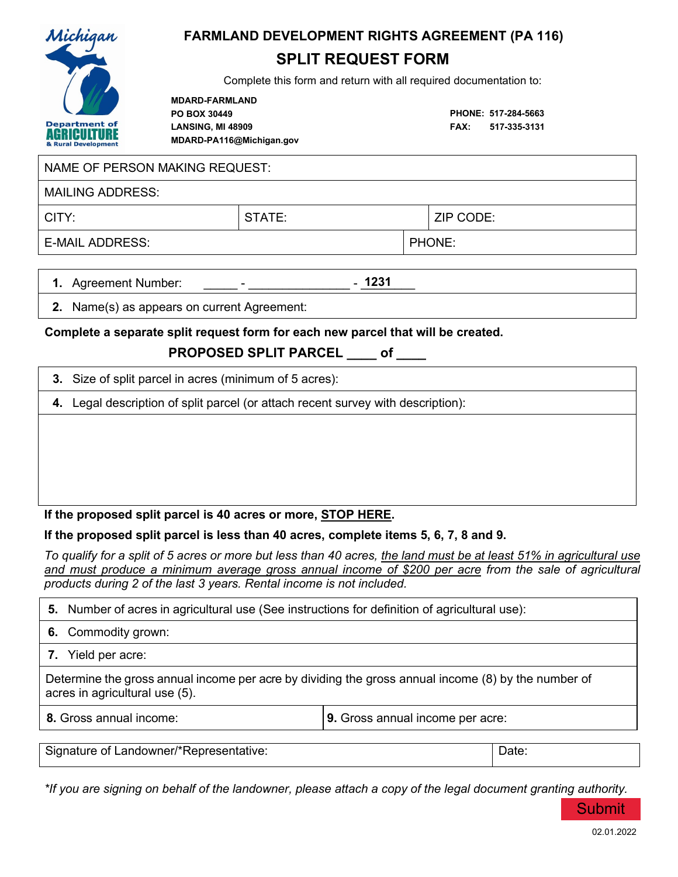

# **FARMLAND DEVELOPMENT RIGHTS AGREEMENT (PA 116)**

# **SPLIT REQUEST FORM**

Complete this form and return with all required documentation to:

**MDARD-FARMLAND PO BOX 30449 LANSING, MI 48909 MDARD-PA116@Michigan.gov** 

**PHONE: 517-284-5663 FAX: 517-335-3131**

#### NAME OF PERSON MAKING REQUEST:

MAILING ADDRESS:

CITY: STATE: ZIP CODE: E-MAIL ADDRESS: PHONE:

**1.** Agreement Number: **1231**

**2.** Name(s) as appears on current Agreement:

#### **Complete a separate split request form for each new parcel that will be created.**

# **PROPOSED SPLIT PARCEL \_\_\_\_ of \_\_\_\_**

|  | 3. Size of split parcel in acres (minimum of 5 acres): |  |
|--|--------------------------------------------------------|--|
|--|--------------------------------------------------------|--|

**4.** Legal description of split parcel (or attach recent survey with description):

### **If the proposed split parcel is 40 acres or more, STOP HERE.**

### **If the proposed split parcel is less than 40 acres, complete items 5, 6, 7, 8 and 9.**

*To qualify for a split of 5 acres or more but less than 40 acres, the land must be at least 51% in agricultural use and must produce a minimum average gross annual income of \$200 per acre from the sale of agricultural products during 2 of the last 3 years. Rental income is not included.*

|  | 5. Number of acres in agricultural use (See instructions for definition of agricultural use): |  |  |
|--|-----------------------------------------------------------------------------------------------|--|--|
|--|-----------------------------------------------------------------------------------------------|--|--|

- **6.** Commodity grown:
- **7.** Yield per acre:

Determine the gross annual income per acre by dividing the gross annual income (8) by the number of acres in agricultural use (5).

**8.** Gross annual income: **9.** Gross annual income per acre:

| Signature of L<br>Landowner/*Representative: |  |
|----------------------------------------------|--|

*\*If you are signing on behalf of the landowner, please attach a copy of the legal document granting authority.*

Submit